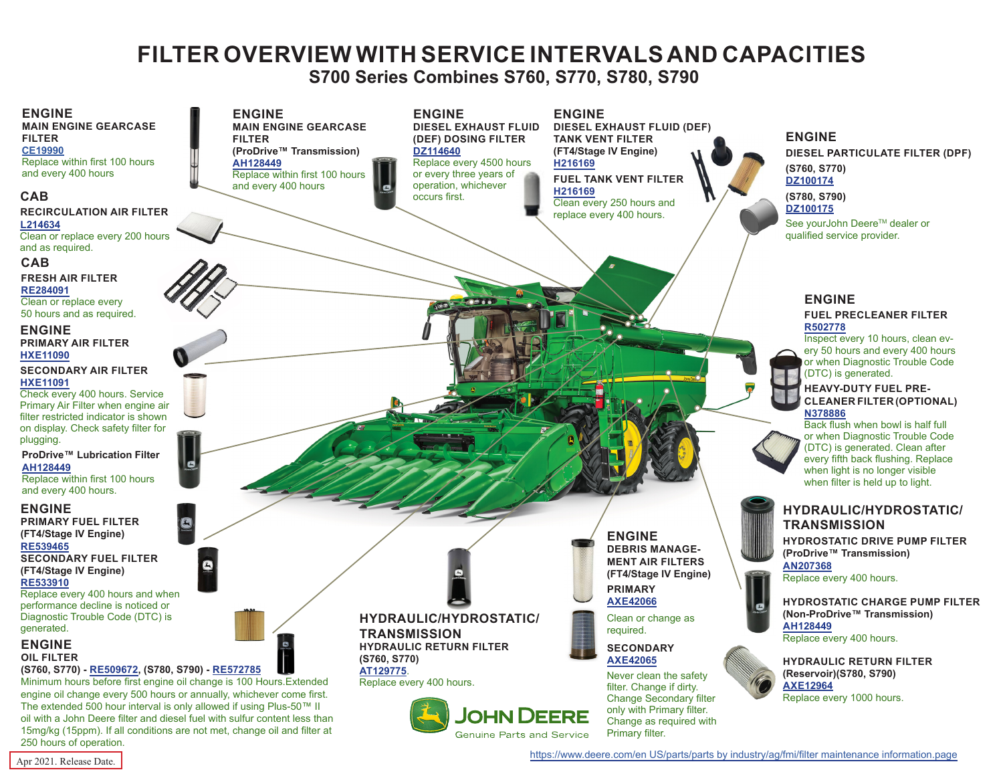# **FILTER OVERVIEW WITH SERVICE INTERVALS AND CAPACITIES**

 **S700 Series Combines S760, S770, S780, S790**

<span id="page-0-0"></span>